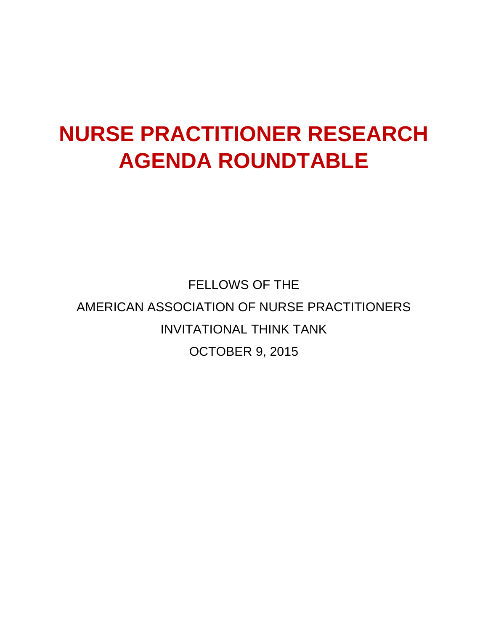# **NURSE PRACTITIONER RESEARCH AGENDA ROUNDTABLE**

FELLOWS OF THE AMERICAN ASSOCIATION OF NURSE PRACTITIONERS INVITATIONAL THINK TANK OCTOBER 9, 2015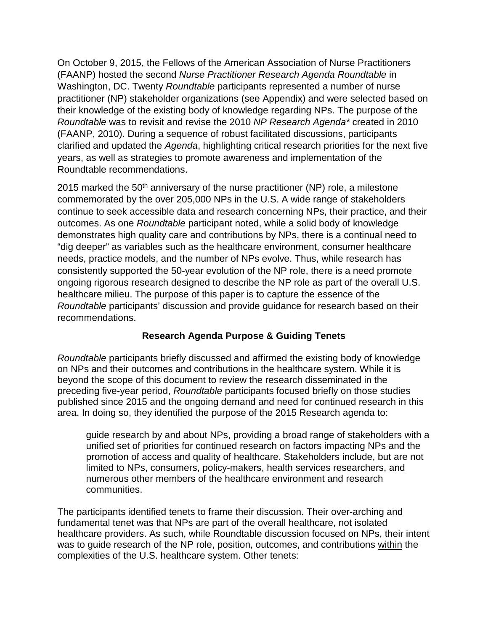On October 9, 2015, the Fellows of the American Association of Nurse Practitioners (FAANP) hosted the second *Nurse Practitioner Research Agenda Roundtable* in Washington, DC. Twenty *Roundtable* participants represented a number of nurse practitioner (NP) stakeholder organizations (see Appendix) and were selected based on their knowledge of the existing body of knowledge regarding NPs. The purpose of the *Roundtable* was to revisit and revise the 2010 *NP Research Agenda\** created in 2010 (FAANP, 2010). During a sequence of robust facilitated discussions, participants clarified and updated the *Agenda*, highlighting critical research priorities for the next five years, as well as strategies to promote awareness and implementation of the Roundtable recommendations.

2015 marked the  $50<sup>th</sup>$  anniversary of the nurse practitioner (NP) role, a milestone commemorated by the over 205,000 NPs in the U.S. A wide range of stakeholders continue to seek accessible data and research concerning NPs, their practice, and their outcomes. As one *Roundtable* participant noted, while a solid body of knowledge demonstrates high quality care and contributions by NPs, there is a continual need to "dig deeper" as variables such as the healthcare environment, consumer healthcare needs, practice models, and the number of NPs evolve. Thus, while research has consistently supported the 50-year evolution of the NP role, there is a need promote ongoing rigorous research designed to describe the NP role as part of the overall U.S. healthcare milieu. The purpose of this paper is to capture the essence of the *Roundtable* participants' discussion and provide guidance for research based on their recommendations.

## **Research Agenda Purpose & Guiding Tenets**

*Roundtable* participants briefly discussed and affirmed the existing body of knowledge on NPs and their outcomes and contributions in the healthcare system. While it is beyond the scope of this document to review the research disseminated in the preceding five-year period, *Roundtable* participants focused briefly on those studies published since 2015 and the ongoing demand and need for continued research in this area. In doing so, they identified the purpose of the 2015 Research agenda to:

guide research by and about NPs, providing a broad range of stakeholders with a unified set of priorities for continued research on factors impacting NPs and the promotion of access and quality of healthcare. Stakeholders include, but are not limited to NPs, consumers, policy-makers, health services researchers, and numerous other members of the healthcare environment and research communities.

The participants identified tenets to frame their discussion. Their over-arching and fundamental tenet was that NPs are part of the overall healthcare, not isolated healthcare providers. As such, while Roundtable discussion focused on NPs, their intent was to guide research of the NP role, position, outcomes, and contributions within the complexities of the U.S. healthcare system. Other tenets: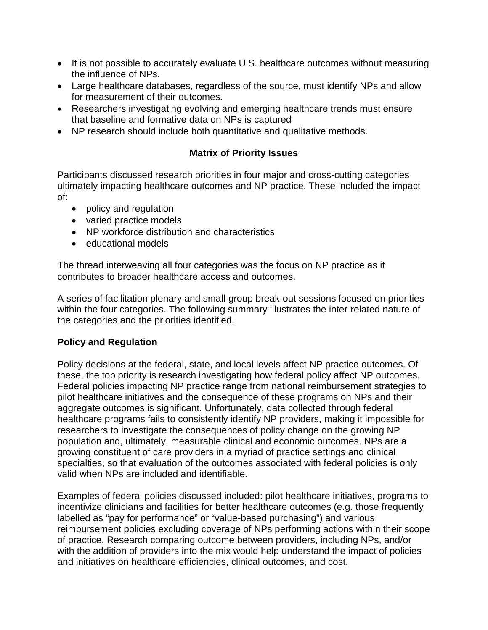- It is not possible to accurately evaluate U.S. healthcare outcomes without measuring the influence of NPs.
- Large healthcare databases, regardless of the source, must identify NPs and allow for measurement of their outcomes.
- Researchers investigating evolving and emerging healthcare trends must ensure that baseline and formative data on NPs is captured
- NP research should include both quantitative and qualitative methods.

#### **Matrix of Priority Issues**

Participants discussed research priorities in four major and cross-cutting categories ultimately impacting healthcare outcomes and NP practice. These included the impact of:

- policy and regulation
- varied practice models
- NP workforce distribution and characteristics
- educational models

The thread interweaving all four categories was the focus on NP practice as it contributes to broader healthcare access and outcomes.

A series of facilitation plenary and small-group break-out sessions focused on priorities within the four categories. The following summary illustrates the inter-related nature of the categories and the priorities identified.

#### **Policy and Regulation**

Policy decisions at the federal, state, and local levels affect NP practice outcomes. Of these, the top priority is research investigating how federal policy affect NP outcomes. Federal policies impacting NP practice range from national reimbursement strategies to pilot healthcare initiatives and the consequence of these programs on NPs and their aggregate outcomes is significant. Unfortunately, data collected through federal healthcare programs fails to consistently identify NP providers, making it impossible for researchers to investigate the consequences of policy change on the growing NP population and, ultimately, measurable clinical and economic outcomes. NPs are a growing constituent of care providers in a myriad of practice settings and clinical specialties, so that evaluation of the outcomes associated with federal policies is only valid when NPs are included and identifiable.

Examples of federal policies discussed included: pilot healthcare initiatives, programs to incentivize clinicians and facilities for better healthcare outcomes (e.g. those frequently labelled as "pay for performance" or "value-based purchasing") and various reimbursement policies excluding coverage of NPs performing actions within their scope of practice. Research comparing outcome between providers, including NPs, and/or with the addition of providers into the mix would help understand the impact of policies and initiatives on healthcare efficiencies, clinical outcomes, and cost.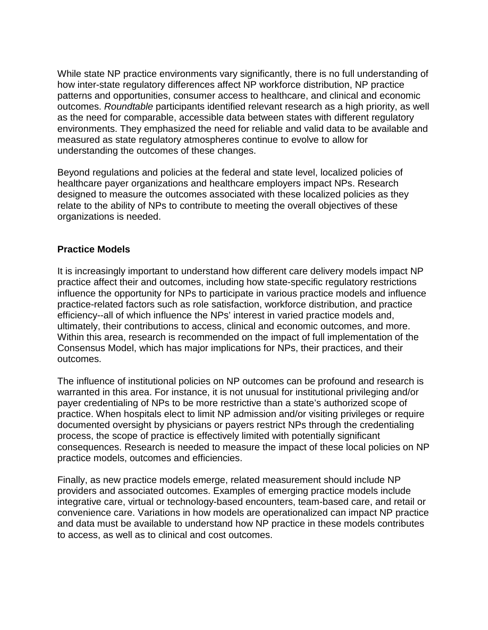While state NP practice environments vary significantly, there is no full understanding of how inter-state regulatory differences affect NP workforce distribution, NP practice patterns and opportunities, consumer access to healthcare, and clinical and economic outcomes. *Roundtable* participants identified relevant research as a high priority, as well as the need for comparable, accessible data between states with different regulatory environments. They emphasized the need for reliable and valid data to be available and measured as state regulatory atmospheres continue to evolve to allow for understanding the outcomes of these changes.

Beyond regulations and policies at the federal and state level, localized policies of healthcare payer organizations and healthcare employers impact NPs. Research designed to measure the outcomes associated with these localized policies as they relate to the ability of NPs to contribute to meeting the overall objectives of these organizations is needed.

#### **Practice Models**

It is increasingly important to understand how different care delivery models impact NP practice affect their and outcomes, including how state-specific regulatory restrictions influence the opportunity for NPs to participate in various practice models and influence practice-related factors such as role satisfaction, workforce distribution, and practice efficiency--all of which influence the NPs' interest in varied practice models and, ultimately, their contributions to access, clinical and economic outcomes, and more. Within this area, research is recommended on the impact of full implementation of the Consensus Model, which has major implications for NPs, their practices, and their outcomes.

The influence of institutional policies on NP outcomes can be profound and research is warranted in this area. For instance, it is not unusual for institutional privileging and/or payer credentialing of NPs to be more restrictive than a state's authorized scope of practice. When hospitals elect to limit NP admission and/or visiting privileges or require documented oversight by physicians or payers restrict NPs through the credentialing process, the scope of practice is effectively limited with potentially significant consequences. Research is needed to measure the impact of these local policies on NP practice models, outcomes and efficiencies.

Finally, as new practice models emerge, related measurement should include NP providers and associated outcomes. Examples of emerging practice models include integrative care, virtual or technology-based encounters, team-based care, and retail or convenience care. Variations in how models are operationalized can impact NP practice and data must be available to understand how NP practice in these models contributes to access, as well as to clinical and cost outcomes.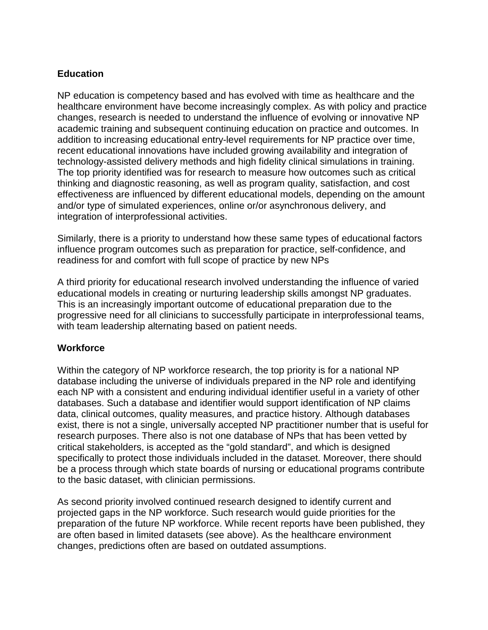## **Education**

NP education is competency based and has evolved with time as healthcare and the healthcare environment have become increasingly complex. As with policy and practice changes, research is needed to understand the influence of evolving or innovative NP academic training and subsequent continuing education on practice and outcomes. In addition to increasing educational entry-level requirements for NP practice over time, recent educational innovations have included growing availability and integration of technology-assisted delivery methods and high fidelity clinical simulations in training. The top priority identified was for research to measure how outcomes such as critical thinking and diagnostic reasoning, as well as program quality, satisfaction, and cost effectiveness are influenced by different educational models, depending on the amount and/or type of simulated experiences, online or/or asynchronous delivery, and integration of interprofessional activities.

Similarly, there is a priority to understand how these same types of educational factors influence program outcomes such as preparation for practice, self-confidence, and readiness for and comfort with full scope of practice by new NPs

A third priority for educational research involved understanding the influence of varied educational models in creating or nurturing leadership skills amongst NP graduates. This is an increasingly important outcome of educational preparation due to the progressive need for all clinicians to successfully participate in interprofessional teams, with team leadership alternating based on patient needs.

#### **Workforce**

Within the category of NP workforce research, the top priority is for a national NP database including the universe of individuals prepared in the NP role and identifying each NP with a consistent and enduring individual identifier useful in a variety of other databases. Such a database and identifier would support identification of NP claims data, clinical outcomes, quality measures, and practice history. Although databases exist, there is not a single, universally accepted NP practitioner number that is useful for research purposes. There also is not one database of NPs that has been vetted by critical stakeholders, is accepted as the "gold standard", and which is designed specifically to protect those individuals included in the dataset. Moreover, there should be a process through which state boards of nursing or educational programs contribute to the basic dataset, with clinician permissions.

As second priority involved continued research designed to identify current and projected gaps in the NP workforce. Such research would guide priorities for the preparation of the future NP workforce. While recent reports have been published, they are often based in limited datasets (see above). As the healthcare environment changes, predictions often are based on outdated assumptions.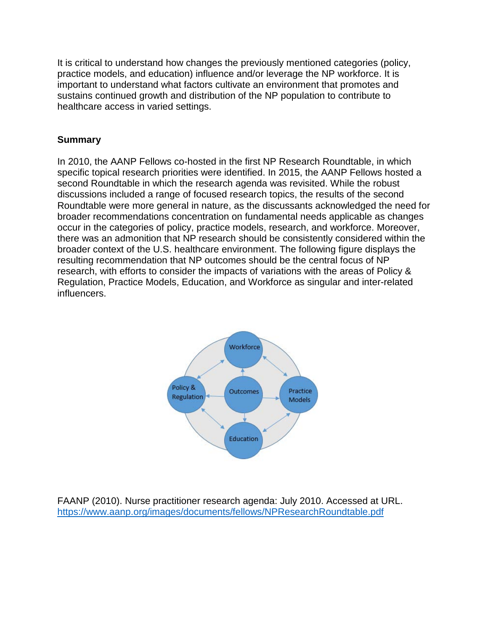It is critical to understand how changes the previously mentioned categories (policy, practice models, and education) influence and/or leverage the NP workforce. It is important to understand what factors cultivate an environment that promotes and sustains continued growth and distribution of the NP population to contribute to healthcare access in varied settings.

# **Summary**

In 2010, the AANP Fellows co-hosted in the first NP Research Roundtable, in which specific topical research priorities were identified. In 2015, the AANP Fellows hosted a second Roundtable in which the research agenda was revisited. While the robust discussions included a range of focused research topics, the results of the second Roundtable were more general in nature, as the discussants acknowledged the need for broader recommendations concentration on fundamental needs applicable as changes occur in the categories of policy, practice models, research, and workforce. Moreover, there was an admonition that NP research should be consistently considered within the broader context of the U.S. healthcare environment. The following figure displays the resulting recommendation that NP outcomes should be the central focus of NP research, with efforts to consider the impacts of variations with the areas of Policy & Regulation, Practice Models, Education, and Workforce as singular and inter-related influencers.



FAANP (2010). Nurse practitioner research agenda: July 2010. Accessed at URL. <https://www.aanp.org/images/documents/fellows/NPResearchRoundtable.pdf>